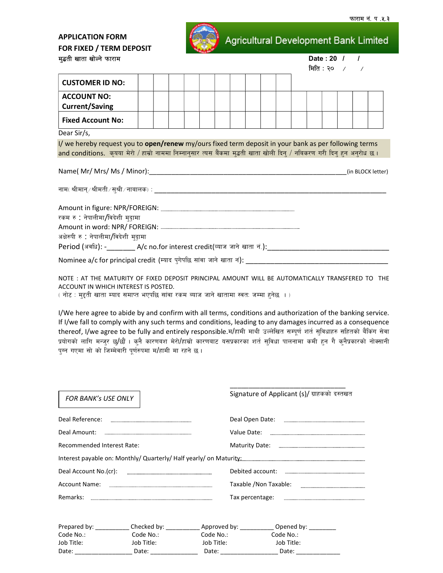## **APPLICATION FORM** FOR FIXED / TERM DEPOSIT मुद्धती खाता खोल्ने प

Agricultural Development Bank Limited

| मद्भता खाता खाल्न फाराम                                                                                                                                                                                                           |  |  |  |  |  | $\mathsf{Date} : \mathsf{20} \quad \sqcup \quad \sqcup$<br>मिति: २० / / |  |  |  |  |  |                   |
|-----------------------------------------------------------------------------------------------------------------------------------------------------------------------------------------------------------------------------------|--|--|--|--|--|-------------------------------------------------------------------------|--|--|--|--|--|-------------------|
| <b>CUSTOMER ID NO:</b>                                                                                                                                                                                                            |  |  |  |  |  |                                                                         |  |  |  |  |  |                   |
| <b>ACCOUNT NO:</b><br><b>Current/Saving</b>                                                                                                                                                                                       |  |  |  |  |  |                                                                         |  |  |  |  |  |                   |
| <b>Fixed Account No:</b>                                                                                                                                                                                                          |  |  |  |  |  |                                                                         |  |  |  |  |  |                   |
| Dear Sir/s,                                                                                                                                                                                                                       |  |  |  |  |  |                                                                         |  |  |  |  |  |                   |
| I/ we hereby request you to open/renew my/ours fixed term deposit in your bank as per following terms<br>and conditions. कृयया मेरो / हाम्रो नाममा निम्नानुसार त्यस बैंकमा मुद्धती खाता खोली दिन् / नबिकरण गरी दिन् हुन अनुरोध छ। |  |  |  |  |  |                                                                         |  |  |  |  |  |                   |
| Name( Mr/ Mrs/ Ms / Minor):                                                                                                                                                                                                       |  |  |  |  |  |                                                                         |  |  |  |  |  | (in BLOCK letter) |

| Amount in figure: NPR/FOREIGN:                                                         |
|----------------------------------------------------------------------------------------|
| रकम रु : नेपालीमा/विदेशी मुदा़मा                                                       |
|                                                                                        |
| अक्षेरुपी रु : नेपालीमा/विदेशी मुदामा                                                  |
| Period (अवधि): -                     A/c no.for interest credit(व्याज जाने खाता नं.):_ |
| Nominee a/c for principal credit (म्याद पुगेपछि सांवा जाने खाता नं): ृ                 |

NOTE: AT THE MATURITY OF FIXED DEPOSIT PRINCIPAL AMOUNT WILL BE AUTOMATICALLY TRANSFERED TO THE ACCOUNT IN WHICH INTEREST IS POSTED.

( नोट : मुद्दती खाता म्याद समाप्त भएपछि सांवा रकम ब्याज जाने खातामा स्वत: जम्मा हुनेछ ।)

I/We here agree to abide by and confirm with all terms, conditions and authorization of the banking service. If I/we fall to comply with any such terms and conditions, leading to any damages incurred as a consequence thereof, I/we agree to be fully and entirely responsible.म/हामी माथी उल्लेखित सम्पूर्ण शर्त सुविधाहरु सहितको बैंकिंग सेवा प्रयोगको लागि मन्जुर छु/छौं । कुनै कारणबश मेरो/हाम्रो कारणबाट यसप्रकारका शर्त सुविधा पालनामा कमी हुन गै कुनैप्रकारको नोक्सानी पुग्न गएमा सो को जिम्मेवारी पुर्णरुपमा म/हामी मा रहने छ।

| <b>FOR BANK's USE ONLY</b>                                                                                                                                                                                                     |                                                                                                                                                                                                                                |                                                                                                                                                                                                                                | Signature of Applicant (s)/ ग्राहकको दस्तखत                                                                                                |  |
|--------------------------------------------------------------------------------------------------------------------------------------------------------------------------------------------------------------------------------|--------------------------------------------------------------------------------------------------------------------------------------------------------------------------------------------------------------------------------|--------------------------------------------------------------------------------------------------------------------------------------------------------------------------------------------------------------------------------|--------------------------------------------------------------------------------------------------------------------------------------------|--|
|                                                                                                                                                                                                                                |                                                                                                                                                                                                                                |                                                                                                                                                                                                                                |                                                                                                                                            |  |
|                                                                                                                                                                                                                                |                                                                                                                                                                                                                                |                                                                                                                                                                                                                                |                                                                                                                                            |  |
| Recommended Interest Rate:                                                                                                                                                                                                     |                                                                                                                                                                                                                                |                                                                                                                                                                                                                                |                                                                                                                                            |  |
|                                                                                                                                                                                                                                |                                                                                                                                                                                                                                |                                                                                                                                                                                                                                | Interest payable on: Monthly/ Quarterly/ Half yearly/ on Maturity: [11] Interest payable on: Monthly/ Quarterly/ Half yearly/ on Maturity: |  |
|                                                                                                                                                                                                                                |                                                                                                                                                                                                                                |                                                                                                                                                                                                                                |                                                                                                                                            |  |
|                                                                                                                                                                                                                                |                                                                                                                                                                                                                                |                                                                                                                                                                                                                                | Taxable /Non Taxable:                                                                                                                      |  |
| Remarks:                                                                                                                                                                                                                       |                                                                                                                                                                                                                                |                                                                                                                                                                                                                                |                                                                                                                                            |  |
|                                                                                                                                                                                                                                |                                                                                                                                                                                                                                |                                                                                                                                                                                                                                | Prepared by: ____________ Checked by: ____________ Approved by: ___________ Opened by: _________                                           |  |
| Code No.:                                                                                                                                                                                                                      | Code No.:                                                                                                                                                                                                                      | Code No.: <b>Code No.:</b>                                                                                                                                                                                                     | Code No.:                                                                                                                                  |  |
| Job Title:                                                                                                                                                                                                                     | Job Title:                                                                                                                                                                                                                     | Job Title:                                                                                                                                                                                                                     | Job Title:                                                                                                                                 |  |
| Date: the contract of the contract of the contract of the contract of the contract of the contract of the contract of the contract of the contract of the contract of the contract of the contract of the contract of the cont | Date: the contract of the contract of the contract of the contract of the contract of the contract of the contract of the contract of the contract of the contract of the contract of the contract of the contract of the cont | Date: the contract of the contract of the contract of the contract of the contract of the contract of the contract of the contract of the contract of the contract of the contract of the contract of the contract of the cont | Date:                                                                                                                                      |  |